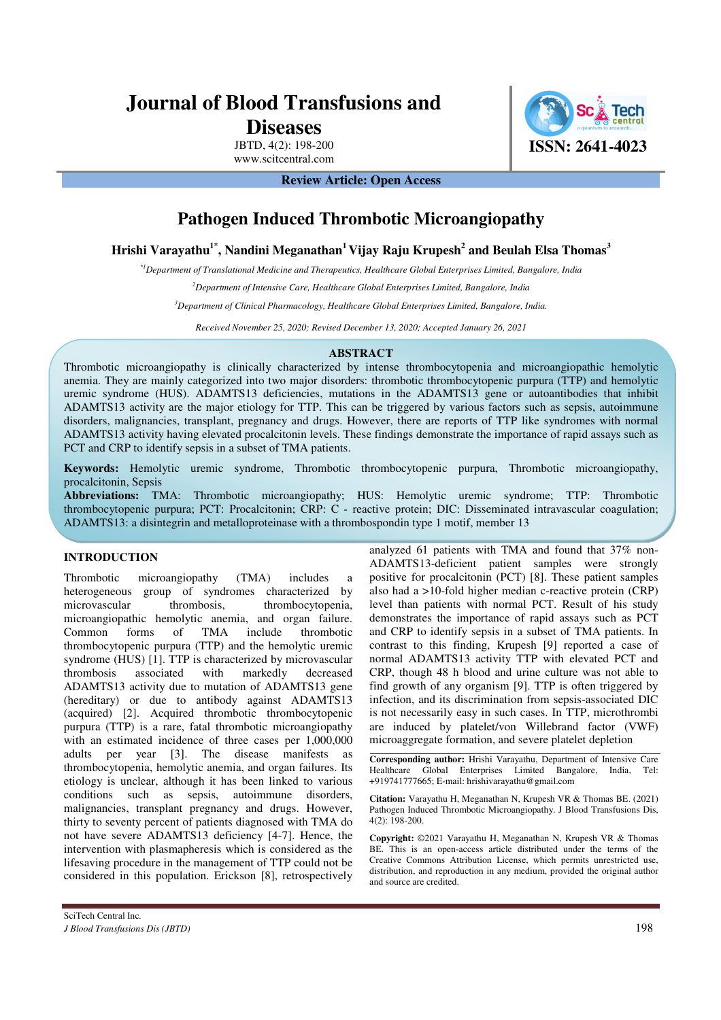# **Journal of Blood Transfusions and**

**Diseases**

JBTD, 4(2): 198-200 www.scitcentral.com



**Review Article: Open Access** 

## **Pathogen Induced Thrombotic Microangiopathy**

**Hrishi Varayathu1\*, Nandini Meganathan<sup>1</sup>Vijay Raju Krupesh<sup>2</sup> and Beulah Elsa Thomas<sup>3</sup>**

*\*1Department of Translational Medicine and Therapeutics, Healthcare Global Enterprises Limited, Bangalore, India* 

*<sup>2</sup>Department of Intensive Care, Healthcare Global Enterprises Limited, Bangalore, India* 

*<sup>3</sup>Department of Clinical Pharmacology, Healthcare Global Enterprises Limited, Bangalore, India.* 

*Received November 25, 2020; Revised December 13, 2020; Accepted January 26, 2021*

#### **ABSTRACT**

Thrombotic microangiopathy is clinically characterized by intense thrombocytopenia and microangiopathic hemolytic anemia. They are mainly categorized into two major disorders: thrombotic thrombocytopenic purpura (TTP) and hemolytic uremic syndrome (HUS). ADAMTS13 deficiencies, mutations in the ADAMTS13 gene or autoantibodies that inhibit ADAMTS13 activity are the major etiology for TTP. This can be triggered by various factors such as sepsis, autoimmune disorders, malignancies, transplant, pregnancy and drugs. However, there are reports of TTP like syndromes with normal ADAMTS13 activity having elevated procalcitonin levels. These findings demonstrate the importance of rapid assays such as PCT and CRP to identify sepsis in a subset of TMA patients.

**Keywords:** Hemolytic uremic syndrome, Thrombotic thrombocytopenic purpura, Thrombotic microangiopathy, procalcitonin, Sepsis

**Abbreviations:** TMA: Thrombotic microangiopathy; HUS: Hemolytic uremic syndrome; TTP: Thrombotic thrombocytopenic purpura; PCT: Procalcitonin; CRP: C - reactive protein; DIC: Disseminated intravascular coagulation; ADAMTS13: a disintegrin and metalloproteinase with a thrombospondin type 1 motif, member 13

#### **INTRODUCTION**

Thrombotic microangiopathy (TMA) includes a heterogeneous group of syndromes characterized by microvascular thrombosis, thrombocytopenia, microangiopathic hemolytic anemia, and organ failure. Common forms of TMA include thrombotic thrombocytopenic purpura (TTP) and the hemolytic uremic syndrome (HUS) [1]. TTP is characterized by microvascular thrombosis associated with markedly decreased ADAMTS13 activity due to mutation of ADAMTS13 gene (hereditary) or due to antibody against ADAMTS13 (acquired) [2]. Acquired thrombotic thrombocytopenic purpura (TTP) is a rare, fatal thrombotic microangiopathy with an estimated incidence of three cases per 1,000,000 adults per year [3]. The disease manifests as thrombocytopenia, hemolytic anemia, and organ failures. Its etiology is unclear, although it has been linked to various conditions such as sepsis, autoimmune disorders, malignancies, transplant pregnancy and drugs. However, thirty to seventy percent of patients diagnosed with TMA do not have severe ADAMTS13 deficiency [4-7]. Hence, the intervention with plasmapheresis which is considered as the lifesaving procedure in the management of TTP could not be considered in this population. Erickson [8], retrospectively

analyzed 61 patients with TMA and found that 37% non-ADAMTS13-deficient patient samples were strongly positive for procalcitonin (PCT) [8]. These patient samples also had a >10-fold higher median c-reactive protein (CRP) level than patients with normal PCT. Result of his study demonstrates the importance of rapid assays such as PCT and CRP to identify sepsis in a subset of TMA patients. In contrast to this finding, Krupesh [9] reported a case of normal ADAMTS13 activity TTP with elevated PCT and CRP, though 48 h blood and urine culture was not able to find growth of any organism [9]. TTP is often triggered by infection, and its discrimination from sepsis-associated DIC is not necessarily easy in such cases. In TTP, microthrombi are induced by platelet/von Willebrand factor (VWF) microaggregate formation, and severe platelet depletion

**Corresponding author:** Hrishi Varayathu, Department of Intensive Care Healthcare Global Enterprises Limited Bangalore, India, Tel: +919741777665; E-mail: hrishivarayathu@gmail.com

**Citation:** Varayathu H, Meganathan N, Krupesh VR & Thomas BE. (2021) Pathogen Induced Thrombotic Microangiopathy. J Blood Transfusions Dis, 4(2): 198-200.

**Copyright:** ©2021 Varayathu H, Meganathan N, Krupesh VR & Thomas BE. This is an open-access article distributed under the terms of the Creative Commons Attribution License, which permits unrestricted use, distribution, and reproduction in any medium, provided the original author and source are credited.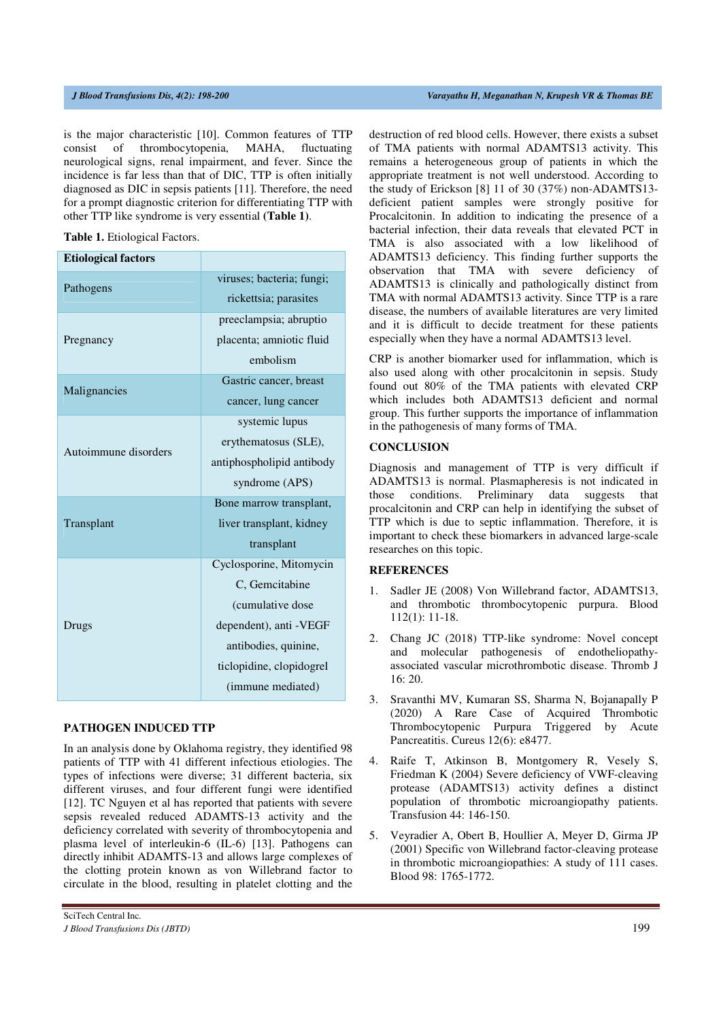is the major characteristic [10]. Common features of TTP consist of thrombocytopenia, MAHA, fluctuating neurological signs, renal impairment, and fever. Since the incidence is far less than that of DIC, TTP is often initially diagnosed as DIC in sepsis patients [11]. Therefore, the need for a prompt diagnostic criterion for differentiating TTP with other TTP like syndrome is very essential **(Table 1)**.

**Table 1.** Etiological Factors.

| <b>Etiological factors</b> |                           |
|----------------------------|---------------------------|
| Pathogens                  | viruses; bacteria; fungi; |
|                            | rickettsia; parasites     |
| Pregnancy                  | preeclampsia; abruptio    |
|                            | placenta; amniotic fluid  |
|                            | embolism                  |
| Malignancies               | Gastric cancer, breast    |
|                            | cancer, lung cancer       |
| Autoimmune disorders       | systemic lupus            |
|                            | erythematosus (SLE),      |
|                            | antiphospholipid antibody |
|                            | syndrome (APS)            |
|                            | Bone marrow transplant,   |
| Transplant                 | liver transplant, kidney  |
|                            | transplant                |
| Drugs                      | Cyclosporine, Mitomycin   |
|                            | C. Gemcitabine            |
|                            | (cumulative dose          |
|                            | dependent), anti - VEGF   |
|                            | antibodies, quinine,      |
|                            | ticlopidine, clopidogrel  |
|                            | (immune mediated)         |
|                            |                           |

#### **PATHOGEN INDUCED TTP**

In an analysis done by Oklahoma registry, they identified 98 patients of TTP with 41 different infectious etiologies. The types of infections were diverse; 31 different bacteria, six different viruses, and four different fungi were identified [12]. TC Nguyen et al has reported that patients with severe sepsis revealed reduced ADAMTS-13 activity and the deficiency correlated with severity of thrombocytopenia and plasma level of interleukin-6 (IL-6) [13]. Pathogens can directly inhibit ADAMTS-13 and allows large complexes of the clotting protein known as von Willebrand factor to circulate in the blood, resulting in platelet clotting and the

destruction of red blood cells. However, there exists a subset of TMA patients with normal ADAMTS13 activity. This remains a heterogeneous group of patients in which the appropriate treatment is not well understood. According to the study of Erickson [8] 11 of 30 (37%) non-ADAMTS13 deficient patient samples were strongly positive for Procalcitonin. In addition to indicating the presence of a bacterial infection, their data reveals that elevated PCT in TMA is also associated with a low likelihood of ADAMTS13 deficiency. This finding further supports the observation that TMA with severe deficiency of ADAMTS13 is clinically and pathologically distinct from TMA with normal ADAMTS13 activity. Since TTP is a rare disease, the numbers of available literatures are very limited and it is difficult to decide treatment for these patients especially when they have a normal ADAMTS13 level.

CRP is another biomarker used for inflammation, which is also used along with other procalcitonin in sepsis. Study found out 80% of the TMA patients with elevated CRP which includes both ADAMTS13 deficient and normal group. This further supports the importance of inflammation in the pathogenesis of many forms of TMA.

### **CONCLUSION**

Diagnosis and management of TTP is very difficult if ADAMTS13 is normal. Plasmapheresis is not indicated in those conditions. Preliminary data suggests that procalcitonin and CRP can help in identifying the subset of TTP which is due to septic inflammation. Therefore, it is important to check these biomarkers in advanced large-scale researches on this topic.

#### **REFERENCES**

- 1. Sadler JE (2008) Von Willebrand factor, ADAMTS13, and thrombotic thrombocytopenic purpura. Blood 112(1): 11-18.
- 2. Chang JC (2018) TTP-like syndrome: Novel concept and molecular pathogenesis of endotheliopathyassociated vascular microthrombotic disease. Thromb J 16: 20.
- 3. Sravanthi MV, Kumaran SS, Sharma N, Bojanapally P (2020) A Rare Case of Acquired Thrombotic Thrombocytopenic Purpura Triggered by Acute Pancreatitis. Cureus 12(6): e8477.
- 4. Raife T, Atkinson B, Montgomery R, Vesely S, Friedman K (2004) Severe deficiency of VWF-cleaving protease (ADAMTS13) activity defines a distinct population of thrombotic microangiopathy patients. Transfusion 44: 146-150.
- 5. Veyradier A, Obert B, Houllier A, Meyer D, Girma JP (2001) Specific von Willebrand factor-cleaving protease in thrombotic microangiopathies: A study of 111 cases. Blood 98: 1765-1772.